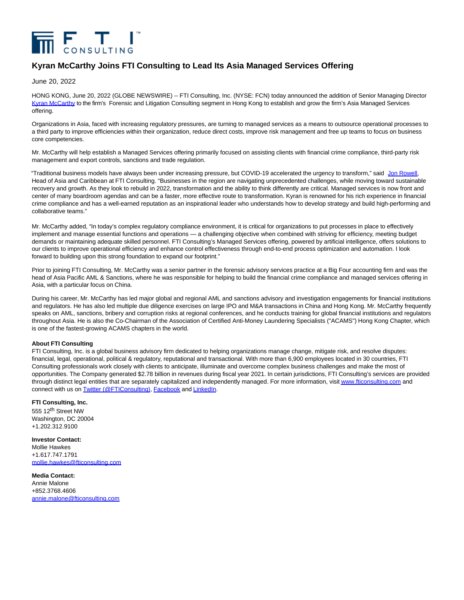

## **Kyran McCarthy Joins FTI Consulting to Lead Its Asia Managed Services Offering**

June 20, 2022

HONG KONG, June 20, 2022 (GLOBE NEWSWIRE) -- FTI Consulting, Inc. (NYSE: FCN) today announced the addition of Senior Managing Director [Kyran McCarthy t](https://www.globenewswire.com/Tracker?data=j_ff1RYYbA3mEhxL8wGBrNm4vkupIR2KnAxSkOLrYuAB8hl0iHmEKbObhHP2-P-aBPcPMqPBkeiwRFVvp1Rx-2s-ibuTPdcTy-XnQ0YodOAelA-dQg5C7oUqwq3aA9IP)o the firm's Forensic and Litigation Consulting segment in Hong Kong to establish and grow the firm's Asia Managed Services offering.

Organizations in Asia, faced with increasing regulatory pressures, are turning to managed services as a means to outsource operational processes to a third party to improve efficiencies within their organization, reduce direct costs, improve risk management and free up teams to focus on business core competencies.

Mr. McCarthy will help establish a Managed Services offering primarily focused on assisting clients with financial crime compliance, third-party risk management and export controls, sanctions and trade regulation.

"Traditional business models have always been under increasing pressure, but COVID-19 accelerated the urgency to transform," said [Jon Rowell,](https://www.globenewswire.com/Tracker?data=TGmr-Flj7w27svjJVpHHVDqOr_KPk91K6bJSkbF9jHJi0L5N9WHTizmfcQns_5s4cPyiZwWxVegfZmiRWFvImsXlClYC-BO6yU1EWKDC9Dw=) Head of Asia and Caribbean at FTI Consulting. "Businesses in the region are navigating unprecedented challenges, while moving toward sustainable recovery and growth. As they look to rebuild in 2022, transformation and the ability to think differently are critical. Managed services is now front and center of many boardroom agendas and can be a faster, more effective route to transformation. Kyran is renowned for his rich experience in financial crime compliance and has a well-earned reputation as an inspirational leader who understands how to develop strategy and build high-performing and collaborative teams."

Mr. McCarthy added, "In today's complex regulatory compliance environment, it is critical for organizations to put processes in place to effectively implement and manage essential functions and operations — a challenging objective when combined with striving for efficiency, meeting budget demands or maintaining adequate skilled personnel. FTI Consulting's Managed Services offering, powered by artificial intelligence, offers solutions to our clients to improve operational efficiency and enhance control effectiveness through end-to-end process optimization and automation. I look forward to building upon this strong foundation to expand our footprint."

Prior to joining FTI Consulting, Mr. McCarthy was a senior partner in the forensic advisory services practice at a Big Four accounting firm and was the head of Asia Pacific AML & Sanctions, where he was responsible for helping to build the financial crime compliance and managed services offering in Asia, with a particular focus on China.

During his career, Mr. McCarthy has led major global and regional AML and sanctions advisory and investigation engagements for financial institutions and regulators. He has also led multiple due diligence exercises on large IPO and M&A transactions in China and Hong Kong. Mr. McCarthy frequently speaks on AML, sanctions, bribery and corruption risks at regional conferences, and he conducts training for global financial institutions and regulators throughout Asia. He is also the Co-Chairman of the Association of Certified Anti-Money Laundering Specialists ("ACAMS") Hong Kong Chapter, which is one of the fastest-growing ACAMS chapters in the world.

## **About FTI Consulting**

FTI Consulting, Inc. is a global business advisory firm dedicated to helping organizations manage change, mitigate risk, and resolve disputes: financial, legal, operational, political & regulatory, reputational and transactional. With more than 6,900 employees located in 30 countries, FTI Consulting professionals work closely with clients to anticipate, illuminate and overcome complex business challenges and make the most of opportunities. The Company generated \$2.78 billion in revenues during fiscal year 2021. In certain jurisdictions, FTI Consulting's services are provided through distinct legal entities that are separately capitalized and independently managed. For more information, visi[t www.fticonsulting.com a](https://www.globenewswire.com/Tracker?data=IGyszriZPnWpKTsA18OGgySPeC_vj13Eui7sYtoa4QQ-fEtq4pPSpGmyIfIiZ7HK02zWcw8TOuoe-uK1FmI5lObMVwW6mOo9j8xqRe9RjoQ=)nd connect with us on [Twitter \(@FTIConsulting\),](https://www.globenewswire.com/Tracker?data=yjou8MeI7kRg1oTWmlQwuss_A43-tehAJWcqpHQiopjaMzu6J200iou6tVMDKRLPkupUq2Cim0AOgFPJs9_KjPva2dhsvYCyflNfPToNrIA=) [Facebook a](https://www.globenewswire.com/Tracker?data=aT6CT8ZJqOnW5ymE-REVCbk4jtkQmW442PrGsfDRwegHU8Iy0rhniD77WEVSMkYZNaz8W9l4a0dhFo_EfQhzjMRNAapLZ9B27LGsbs14bRs=)n[d LinkedIn.](https://www.globenewswire.com/Tracker?data=FHX78EMlAw-jj5bMFej_SLQw9gJicERqMKl-MCMEbGnkBPYubwelNJ9MfCHIM6jpxFLdVL29DSw0HTJohwPfXPdcYa8SGhGG1pyv3aZ15R8=)

## **FTI Consulting, Inc.**

555 12<sup>th</sup> Street NW Washington, DC 20004 +1.202.312.9100

**Investor Contact:** Mollie Hawkes +1.617.747.1791 [mollie.hawkes@fticonsulting.com](https://www.globenewswire.com/Tracker?data=uqbqYny2OLArBH2nUDJBSF7DO62SOr-jNJYuycKotC-KBNKRrpfqvO8Cytb0IRbL7r-SprZO3_ZszJJBcqxUBNLfMQlsm737zzoqaD5c3wFASjA_2BySmpsLxmavSpX_)

**Media Contact:** Annie Malone +852.3768.4606 [annie.malone@fticonsulting.com](https://www.globenewswire.com/Tracker?data=7ilJoULHTypYZUDFd2JIiQ5Uj1lQg3thk45zVu0uTR-Wwj1s2CZZPPSjej7ok2uDID_XP71zinGT7GXoM_QWRwRo6_VevRWFjN9XLFt-2RJu2IfgLQmmUnMq1Bav14Kk)